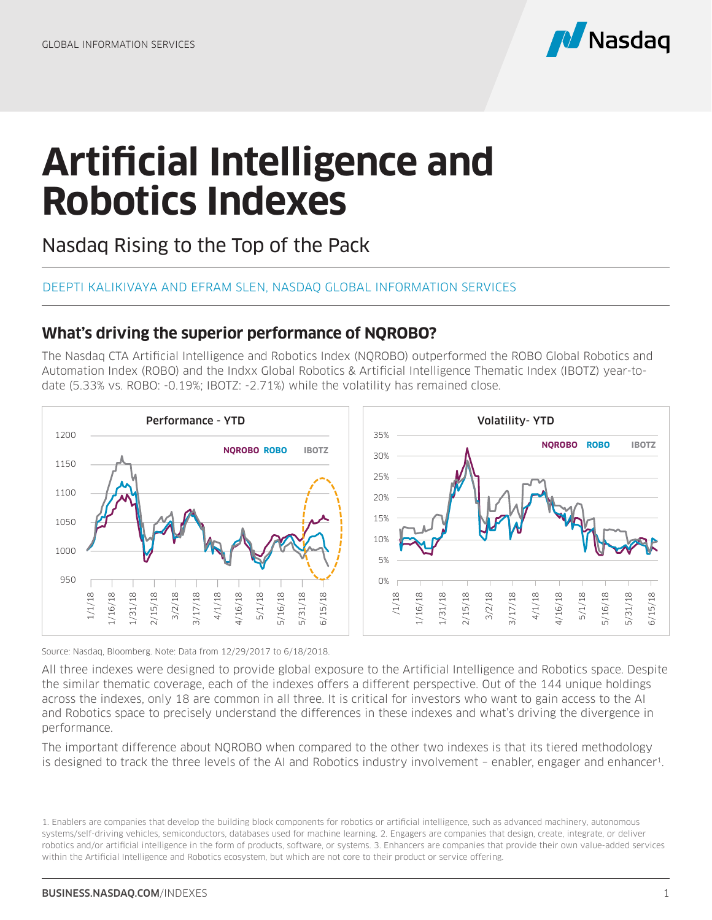

## **Artificial Intelligence and Robotics Indexes**

Nasdaq Rising to the Top of the Pack

## DEEPTI KALIKIVAYA AND EFRAM SLEN, NASDAQ GLOBAL INFORMATION SERVICES

## **What's driving the superior performance of NQROBO?**

The Nasdaq CTA Artificial Intelligence and Robotics Index (NQROBO) outperformed the ROBO Global Robotics and Automation Index (ROBO) and the Indxx Global Robotics & Artificial Intelligence Thematic Index (IBOTZ) year-todate (5.33% vs. ROBO: -0.19%; IBOTZ: -2.71%) while the volatility has remained close.



Source: Nasdaq, Bloomberg. Note: Data from 12/29/2017 to 6/18/2018.

All three indexes were designed to provide global exposure to the Artificial Intelligence and Robotics space. Despite the similar thematic coverage, each of the indexes offers a different perspective. Out of the 144 unique holdings across the indexes, only 18 are common in all three. It is critical for investors who want to gain access to the AI and Robotics space to precisely understand the differences in these indexes and what's driving the divergence in performance. Source: Nasdaq, Bloomberg, Note: Data from 12/29/2017 to 6/18/2018.<br>
Source: Nasdaq, Bloomberg, Note: Data from 12/29/2017 to 6/18/2018.<br>
Source: Nasdaq, Bloomberg, Note: Data from 12/29/2017 to 6/18/2018.<br>
All three index

The important difference about NQROBO when compared to the other two indexes is that its tiered methodology

<sup>1.</sup> Enablers are companies that develop the building block components for robotics or artificial intelligence, such as advanced machinery, autonomous systems/self-driving vehicles, semiconductors, databases used for machine learning. 2. Engagers are companies that design, create, integrate, or deliver robotics and/or artificial intelligence in the form of products, software, or systems. 3. Enhancers are companies that provide their own value-added services within the Artificial Intelligence and Robotics ecosystem, but which are not core to their product or service offering.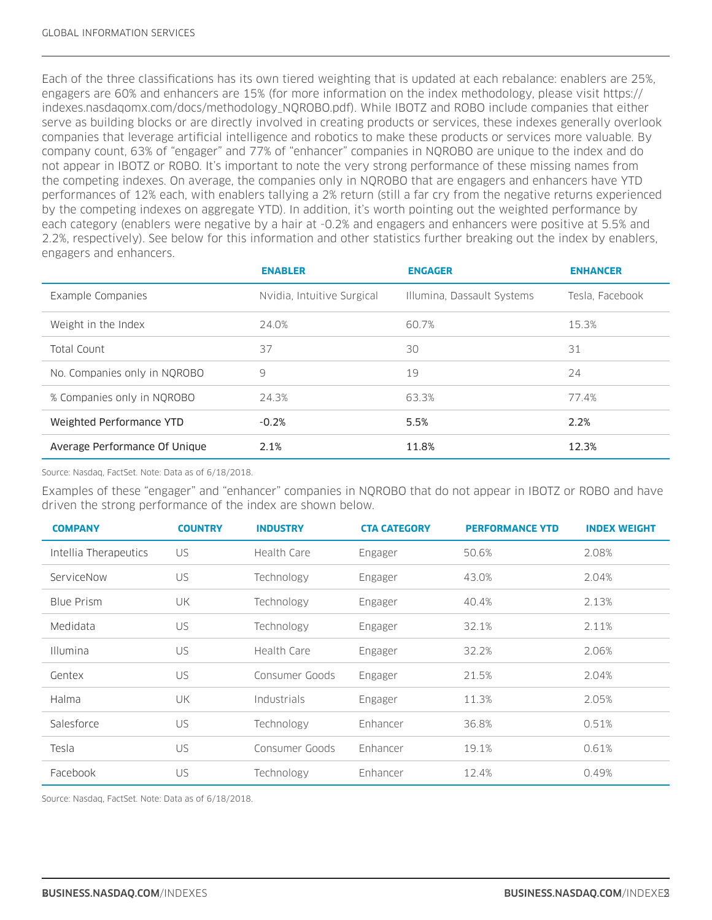Each of the three classifications has its own tiered weighting that is updated at each rebalance: enablers are 25%, engagers are 60% and enhancers are 15% (for more information on the index methodology, please visit https:// indexes.nasdaqomx.com/docs/methodology\_NQROBO.pdf). While IBOTZ and ROBO include companies that either serve as building blocks or are directly involved in creating products or services, these indexes generally overlook companies that leverage artificial intelligence and robotics to make these products or services more valuable. By company count, 63% of "engager" and 77% of "enhancer" companies in NQROBO are unique to the index and do not appear in IBOTZ or ROBO. It's important to note the very strong performance of these missing names from the competing indexes. On average, the companies only in NQROBO that are engagers and enhancers have YTD performances of 12% each, with enablers tallying a 2% return (still a far cry from the negative returns experienced by the competing indexes on aggregate YTD). In addition, it's worth pointing out the weighted performance by each category (enablers were negative by a hair at -0.2% and engagers and enhancers were positive at 5.5% and 2.2%, respectively). See below for this information and other statistics further breaking out the index by enablers, engagers and enhancers.

|                               | <b>ENABLER</b>             | <b>ENGAGER</b>             | <b>ENHANCER</b> |
|-------------------------------|----------------------------|----------------------------|-----------------|
| Example Companies             | Nvidia, Intuitive Surgical | Illumina, Dassault Systems | Tesla. Facebook |
| Weight in the Index           | 24.0%                      | 60.7%                      | 15.3%           |
| Total Count                   | 37                         | 30                         | 31              |
| No. Companies only in NQROBO  | 9                          | 19                         | 24              |
| % Companies only in NQROBO    | 24.3%                      | 63.3%                      | 77.4%           |
| Weighted Performance YTD      | $-0.2%$                    | 5.5%                       | 2.2%            |
| Average Performance Of Unique | 2.1%                       | 11.8%                      | 12.3%           |

Source: Nasdaq, FactSet. Note: Data as of 6/18/2018.

Examples of these "engager" and "enhancer" companies in NQROBO that do not appear in IBOTZ or ROBO and have driven the strong performance of the index are shown below.

| <b>COMPANY</b>        | <b>COUNTRY</b> | <b>INDUSTRY</b> | <b>CTA CATEGORY</b> | <b>PERFORMANCE YTD</b> | <b>INDEX WEIGHT</b> |
|-----------------------|----------------|-----------------|---------------------|------------------------|---------------------|
| Intellia Therapeutics | US             | Health Care     | Engager             | 50.6%                  | 2.08%               |
| ServiceNow            | US             | Technology      | Engager             | 43.0%                  | 2.04%               |
| <b>Blue Prism</b>     | UK             | Technology      | Engager             | 40.4%                  | 2.13%               |
| Medidata              | US             | Technology      | Engager             | 32.1%                  | 2.11%               |
| <b>Illumina</b>       | US             | Health Care     | Engager             | 32.2%                  | 2.06%               |
| Gentex                | US             | Consumer Goods  | Engager             | 21.5%                  | 2.04%               |
| Halma                 | UK             | Industrials     | Engager             | 11.3%                  | 2.05%               |
| Salesforce            | US             | Technology      | Enhancer            | 36.8%                  | 0.51%               |
| Tesla                 | <b>US</b>      | Consumer Goods  | Enhancer            | 19.1%                  | 0.61%               |
| Facebook              | US             | Technology      | Enhancer            | 12.4%                  | 0.49%               |

Source: Nasdaq, FactSet. Note: Data as of 6/18/2018.